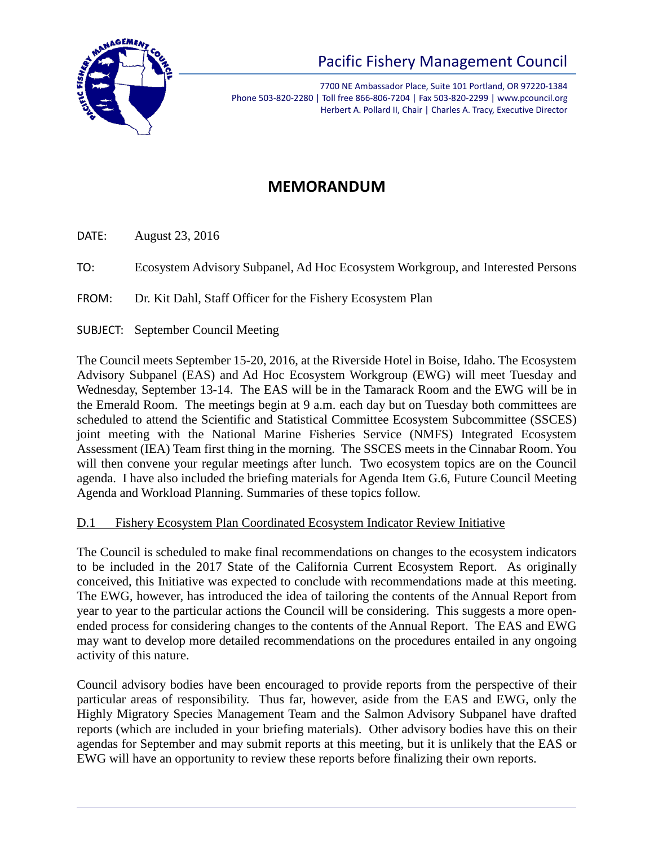

# Pacific Fishery Management Council

7700 NE Ambassador Place, Suite 101 Portland, OR 97220-1384 Phone 503-820-2280 | Toll free 866-806-7204 | Fax 503-820-2299 | www.pcouncil.org Herbert A. Pollard II, Chair | Charles A. Tracy, Executive Director

## **MEMORANDUM**

DATE: August 23, 2016

TO: Ecosystem Advisory Subpanel, Ad Hoc Ecosystem Workgroup, and Interested Persons

FROM: Dr. Kit Dahl, Staff Officer for the Fishery Ecosystem Plan

SUBJECT: September Council Meeting

The Council meets September 15-20, 2016, at the Riverside Hotel in Boise, Idaho. The Ecosystem Advisory Subpanel (EAS) and Ad Hoc Ecosystem Workgroup (EWG) will meet Tuesday and Wednesday, September 13-14. The EAS will be in the Tamarack Room and the EWG will be in the Emerald Room. The meetings begin at 9 a.m. each day but on Tuesday both committees are scheduled to attend the Scientific and Statistical Committee Ecosystem Subcommittee (SSCES) joint meeting with the National Marine Fisheries Service (NMFS) Integrated Ecosystem Assessment (IEA) Team first thing in the morning. The SSCES meets in the Cinnabar Room. You will then convene your regular meetings after lunch. Two ecosystem topics are on the Council agenda. I have also included the briefing materials for Agenda Item G.6, Future Council Meeting Agenda and Workload Planning. Summaries of these topics follow.

### D.1 Fishery Ecosystem Plan Coordinated Ecosystem Indicator Review Initiative

The Council is scheduled to make final recommendations on changes to the ecosystem indicators to be included in the 2017 State of the California Current Ecosystem Report. As originally conceived, this Initiative was expected to conclude with recommendations made at this meeting. The EWG, however, has introduced the idea of tailoring the contents of the Annual Report from year to year to the particular actions the Council will be considering. This suggests a more openended process for considering changes to the contents of the Annual Report. The EAS and EWG may want to develop more detailed recommendations on the procedures entailed in any ongoing activity of this nature.

Council advisory bodies have been encouraged to provide reports from the perspective of their particular areas of responsibility. Thus far, however, aside from the EAS and EWG, only the Highly Migratory Species Management Team and the Salmon Advisory Subpanel have drafted reports (which are included in your briefing materials). Other advisory bodies have this on their agendas for September and may submit reports at this meeting, but it is unlikely that the EAS or EWG will have an opportunity to review these reports before finalizing their own reports.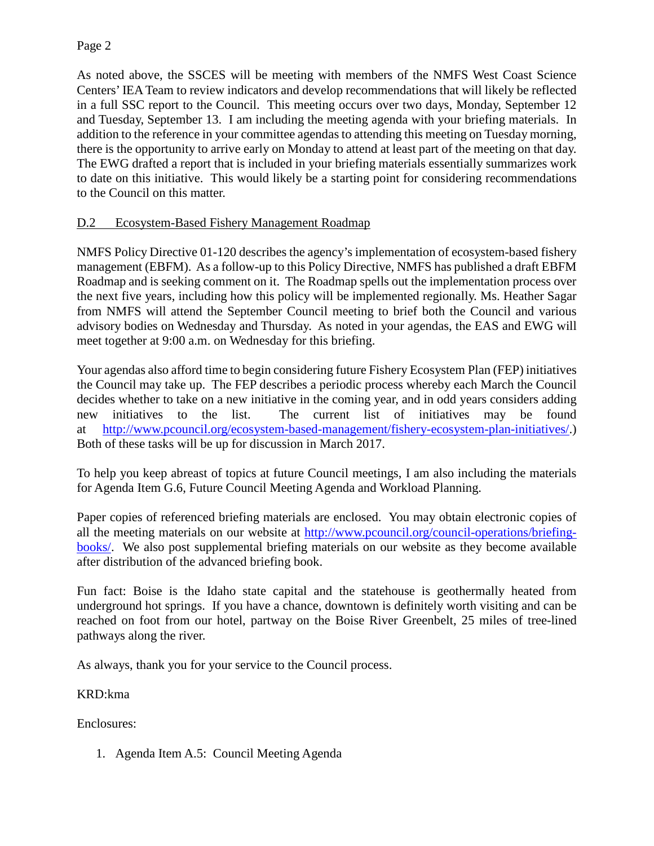As noted above, the SSCES will be meeting with members of the NMFS West Coast Science Centers' IEA Team to review indicators and develop recommendations that will likely be reflected in a full SSC report to the Council. This meeting occurs over two days, Monday, September 12 and Tuesday, September 13. I am including the meeting agenda with your briefing materials. In addition to the reference in your committee agendas to attending this meeting on Tuesday morning, there is the opportunity to arrive early on Monday to attend at least part of the meeting on that day. The EWG drafted a report that is included in your briefing materials essentially summarizes work to date on this initiative. This would likely be a starting point for considering recommendations to the Council on this matter.

### D.2 Ecosystem-Based Fishery Management Roadmap

NMFS Policy Directive 01-120 describes the agency's implementation of ecosystem-based fishery management (EBFM). As a follow-up to this Policy Directive, NMFS has published a draft EBFM Roadmap and is seeking comment on it. The Roadmap spells out the implementation process over the next five years, including how this policy will be implemented regionally. Ms. Heather Sagar from NMFS will attend the September Council meeting to brief both the Council and various advisory bodies on Wednesday and Thursday. As noted in your agendas, the EAS and EWG will meet together at 9:00 a.m. on Wednesday for this briefing.

Your agendas also afford time to begin considering future Fishery Ecosystem Plan (FEP) initiatives the Council may take up. The FEP describes a periodic process whereby each March the Council decides whether to take on a new initiative in the coming year, and in odd years considers adding new initiatives to the list. The current list of initiatives may be found at [http://www.pcouncil.org/ecosystem-based-management/fishery-ecosystem-plan-initiatives/.](http://www.pcouncil.org/ecosystem-based-management/fishery-ecosystem-plan-initiatives/)) Both of these tasks will be up for discussion in March 2017.

To help you keep abreast of topics at future Council meetings, I am also including the materials for Agenda Item G.6, Future Council Meeting Agenda and Workload Planning.

Paper copies of referenced briefing materials are enclosed. You may obtain electronic copies of all the meeting materials on our website at [http://www.pcouncil.org/council-operations/briefing](http://www.pcouncil.org/council-operations/briefing-books/)[books/.](http://www.pcouncil.org/council-operations/briefing-books/) We also post supplemental briefing materials on our website as they become available after distribution of the advanced briefing book.

Fun fact: Boise is the Idaho state capital and the statehouse is geothermally heated from underground hot springs. If you have a chance, downtown is definitely worth visiting and can be reached on foot from our hotel, partway on the Boise River Greenbelt, 25 miles of tree-lined pathways along the river.

As always, thank you for your service to the Council process.

### KRD:kma

Enclosures:

1. Agenda Item A.5: Council Meeting Agenda